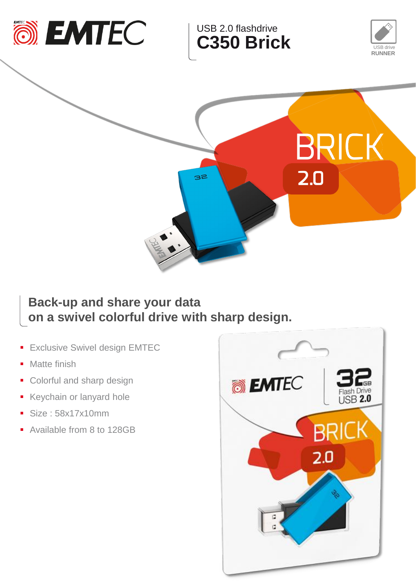

USB 2.0 flashdrive **C350 Brick**





## **Back-up and share your data on a swivel colorful drive with sharp design.**

- **Exclusive Swivel design EMTEC**
- Matte finish
- Colorful and sharp design
- Keychain or lanyard hole
- Size : 58x17x10mm
- Available from 8 to 128GB